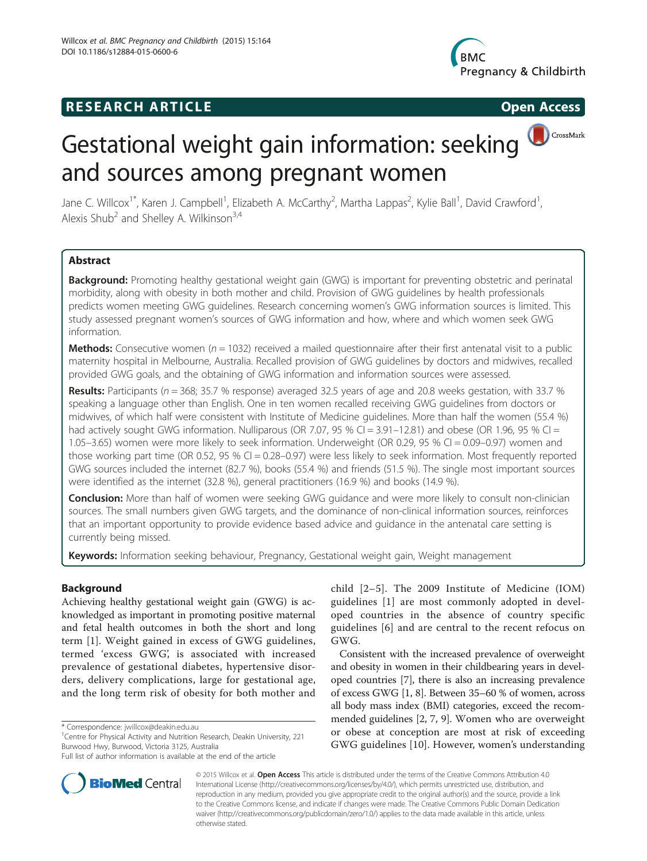# **RESEARCH ARTICLE Example 2018 12:00 Open Access**



CrossMark

# Gestational weight gain information: seeking and sources among pregnant women

Jane C. Willcox<sup>1\*</sup>, Karen J. Campbell<sup>1</sup>, Elizabeth A. McCarthy<sup>2</sup>, Martha Lappas<sup>2</sup>, Kylie Ball<sup>1</sup>, David Crawford<sup>1</sup> , Alexis Shub<sup>2</sup> and Shelley A. Wilkinson<sup>3,4</sup>

# Abstract

Background: Promoting healthy gestational weight gain (GWG) is important for preventing obstetric and perinatal morbidity, along with obesity in both mother and child. Provision of GWG guidelines by health professionals predicts women meeting GWG guidelines. Research concerning women's GWG information sources is limited. This study assessed pregnant women's sources of GWG information and how, where and which women seek GWG information.

**Methods:** Consecutive women ( $n = 1032$ ) received a mailed questionnaire after their first antenatal visit to a public maternity hospital in Melbourne, Australia. Recalled provision of GWG guidelines by doctors and midwives, recalled provided GWG goals, and the obtaining of GWG information and information sources were assessed.

Results: Participants ( $n = 368$ ; 35.7 % response) averaged 32.5 years of age and 20.8 weeks gestation, with 33.7 % speaking a language other than English. One in ten women recalled receiving GWG guidelines from doctors or midwives, of which half were consistent with Institute of Medicine guidelines. More than half the women (55.4 %) had actively sought GWG information. Nulliparous (OR 7.07, 95 % CI = 3.91–12.81) and obese (OR 1.96, 95 % CI = 1.05–3.65) women were more likely to seek information. Underweight (OR 0.29, 95 % CI = 0.09–0.97) women and those working part time (OR 0.52, 95 % CI = 0.28–0.97) were less likely to seek information. Most frequently reported GWG sources included the internet (82.7 %), books (55.4 %) and friends (51.5 %). The single most important sources were identified as the internet (32.8 %), general practitioners (16.9 %) and books (14.9 %).

**Conclusion:** More than half of women were seeking GWG guidance and were more likely to consult non-clinician sources. The small numbers given GWG targets, and the dominance of non-clinical information sources, reinforces that an important opportunity to provide evidence based advice and guidance in the antenatal care setting is currently being missed.

Keywords: Information seeking behaviour, Pregnancy, Gestational weight gain, Weight management

# **Background**

Achieving healthy gestational weight gain (GWG) is acknowledged as important in promoting positive maternal and fetal health outcomes in both the short and long term [[1\]](#page-8-0). Weight gained in excess of GWG guidelines, termed 'excess GWG', is associated with increased prevalence of gestational diabetes, hypertensive disorders, delivery complications, large for gestational age, and the long term risk of obesity for both mother and



Consistent with the increased prevalence of overweight and obesity in women in their childbearing years in developed countries [[7\]](#page-8-0), there is also an increasing prevalence of excess GWG [[1, 8](#page-8-0)]. Between 35–60 % of women, across all body mass index (BMI) categories, exceed the recommended guidelines [\[2](#page-8-0), [7](#page-8-0), [9](#page-8-0)]. Women who are overweight or obese at conception are most at risk of exceeding GWG guidelines [\[10](#page-8-0)]. However, women's understanding



© 2015 Willcox et al. Open Access This article is distributed under the terms of the Creative Commons Attribution 4.0 International License ([http://creativecommons.org/licenses/by/4.0/\)](http://creativecommons.org/licenses/by/4.0/), which permits unrestricted use, distribution, and reproduction in any medium, provided you give appropriate credit to the original author(s) and the source, provide a link to the Creative Commons license, and indicate if changes were made. The Creative Commons Public Domain Dedication waiver [\(http://creativecommons.org/publicdomain/zero/1.0/](http://creativecommons.org/publicdomain/zero/1.0/)) applies to the data made available in this article, unless otherwise stated.

<sup>\*</sup> Correspondence: [jwillcox@deakin.edu.au](mailto:jwillcox@deakin.edu.au) <sup>1</sup>

<sup>&</sup>lt;sup>1</sup> Centre for Physical Activity and Nutrition Research, Deakin University, 221 Burwood Hwy, Burwood, Victoria 3125, Australia

Full list of author information is available at the end of the article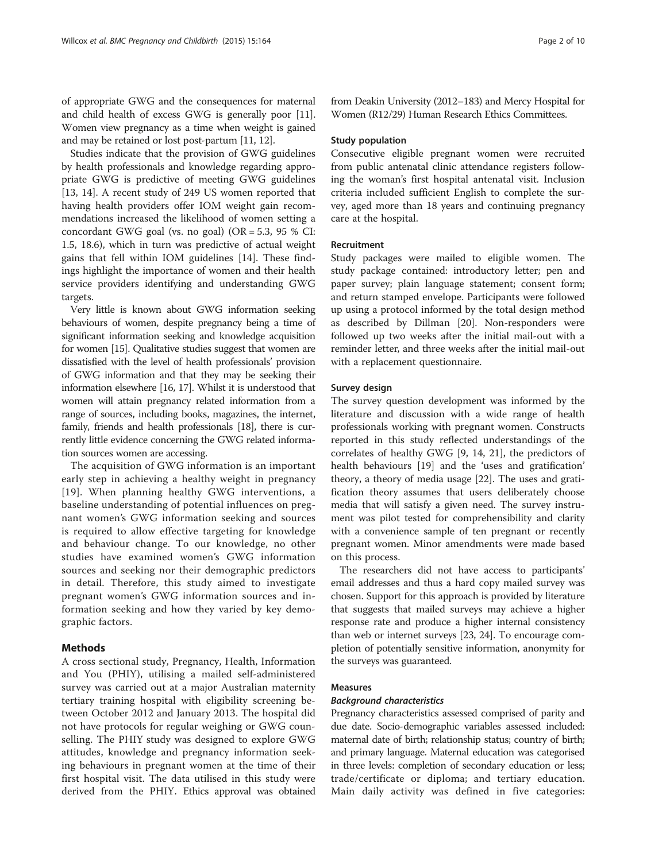of appropriate GWG and the consequences for maternal and child health of excess GWG is generally poor [[11](#page-8-0)]. Women view pregnancy as a time when weight is gained and may be retained or lost post-partum [\[11, 12](#page-8-0)].

Studies indicate that the provision of GWG guidelines by health professionals and knowledge regarding appropriate GWG is predictive of meeting GWG guidelines [[13, 14\]](#page-8-0). A recent study of 249 US women reported that having health providers offer IOM weight gain recommendations increased the likelihood of women setting a concordant GWG goal (vs. no goal) ( $OR = 5.3$ , 95 % CI: 1.5, 18.6), which in turn was predictive of actual weight gains that fell within IOM guidelines [[14](#page-8-0)]. These findings highlight the importance of women and their health service providers identifying and understanding GWG targets.

Very little is known about GWG information seeking behaviours of women, despite pregnancy being a time of significant information seeking and knowledge acquisition for women [\[15\]](#page-8-0). Qualitative studies suggest that women are dissatisfied with the level of health professionals' provision of GWG information and that they may be seeking their information elsewhere [\[16](#page-8-0), [17\]](#page-8-0). Whilst it is understood that women will attain pregnancy related information from a range of sources, including books, magazines, the internet, family, friends and health professionals [\[18\]](#page-8-0), there is currently little evidence concerning the GWG related information sources women are accessing.

The acquisition of GWG information is an important early step in achieving a healthy weight in pregnancy [[19](#page-8-0)]. When planning healthy GWG interventions, a baseline understanding of potential influences on pregnant women's GWG information seeking and sources is required to allow effective targeting for knowledge and behaviour change. To our knowledge, no other studies have examined women's GWG information sources and seeking nor their demographic predictors in detail. Therefore, this study aimed to investigate pregnant women's GWG information sources and information seeking and how they varied by key demographic factors.

# Methods

A cross sectional study, Pregnancy, Health, Information and You (PHIY), utilising a mailed self-administered survey was carried out at a major Australian maternity tertiary training hospital with eligibility screening between October 2012 and January 2013. The hospital did not have protocols for regular weighing or GWG counselling. The PHIY study was designed to explore GWG attitudes, knowledge and pregnancy information seeking behaviours in pregnant women at the time of their first hospital visit. The data utilised in this study were derived from the PHIY. Ethics approval was obtained from Deakin University (2012–183) and Mercy Hospital for Women (R12/29) Human Research Ethics Committees.

#### Study population

Consecutive eligible pregnant women were recruited from public antenatal clinic attendance registers following the woman's first hospital antenatal visit. Inclusion criteria included sufficient English to complete the survey, aged more than 18 years and continuing pregnancy care at the hospital.

#### Recruitment

Study packages were mailed to eligible women. The study package contained: introductory letter; pen and paper survey; plain language statement; consent form; and return stamped envelope. Participants were followed up using a protocol informed by the total design method as described by Dillman [\[20](#page-8-0)]. Non-responders were followed up two weeks after the initial mail-out with a reminder letter, and three weeks after the initial mail-out with a replacement questionnaire.

#### Survey design

The survey question development was informed by the literature and discussion with a wide range of health professionals working with pregnant women. Constructs reported in this study reflected understandings of the correlates of healthy GWG [\[9](#page-8-0), [14, 21](#page-8-0)], the predictors of health behaviours [\[19](#page-8-0)] and the 'uses and gratification' theory, a theory of media usage [[22](#page-8-0)]. The uses and gratification theory assumes that users deliberately choose media that will satisfy a given need. The survey instrument was pilot tested for comprehensibility and clarity with a convenience sample of ten pregnant or recently pregnant women. Minor amendments were made based on this process.

The researchers did not have access to participants' email addresses and thus a hard copy mailed survey was chosen. Support for this approach is provided by literature that suggests that mailed surveys may achieve a higher response rate and produce a higher internal consistency than web or internet surveys [[23](#page-8-0), [24\]](#page-8-0). To encourage completion of potentially sensitive information, anonymity for the surveys was guaranteed.

# Measures

# Background characteristics

Pregnancy characteristics assessed comprised of parity and due date. Socio-demographic variables assessed included: maternal date of birth; relationship status; country of birth; and primary language. Maternal education was categorised in three levels: completion of secondary education or less; trade/certificate or diploma; and tertiary education. Main daily activity was defined in five categories: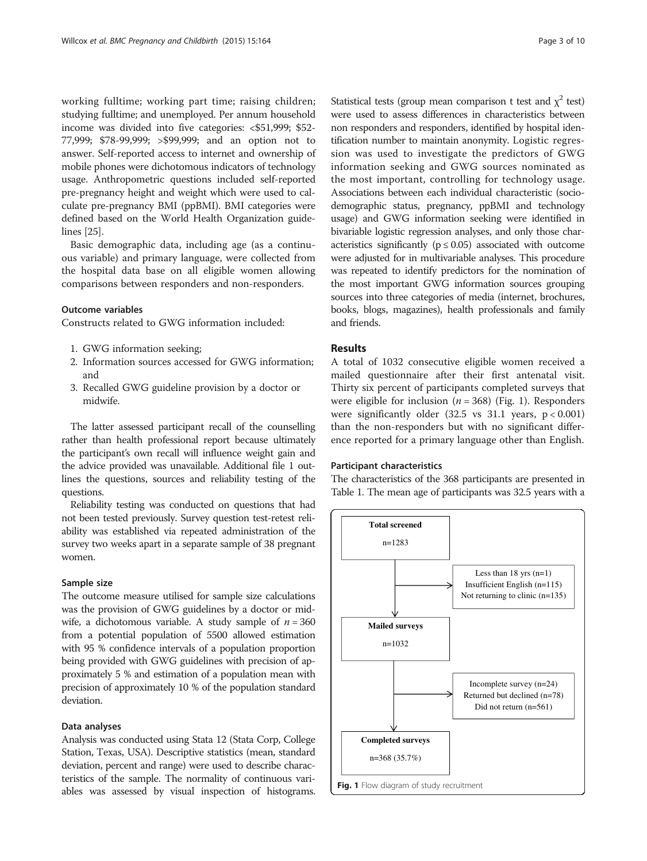working fulltime; working part time; raising children; studying fulltime; and unemployed. Per annum household income was divided into five categories: <\$51,999; \$52- 77,999; \$78-99,999; >\$99,999; and an option not to answer. Self-reported access to internet and ownership of mobile phones were dichotomous indicators of technology usage. Anthropometric questions included self-reported pre-pregnancy height and weight which were used to calculate pre-pregnancy BMI (ppBMI). BMI categories were defined based on the World Health Organization guidelines [[25](#page-8-0)].

Basic demographic data, including age (as a continuous variable) and primary language, were collected from the hospital data base on all eligible women allowing comparisons between responders and non-responders.

#### Outcome variables

Constructs related to GWG information included:

- 1. GWG information seeking;
- 2. Information sources accessed for GWG information; and
- 3. Recalled GWG guideline provision by a doctor or midwife.

The latter assessed participant recall of the counselling rather than health professional report because ultimately the participant's own recall will influence weight gain and the advice provided was unavailable. Additional file [1](#page-7-0) outlines the questions, sources and reliability testing of the questions.

Reliability testing was conducted on questions that had not been tested previously. Survey question test-retest reliability was established via repeated administration of the survey two weeks apart in a separate sample of 38 pregnant women.

#### Sample size

The outcome measure utilised for sample size calculations was the provision of GWG guidelines by a doctor or midwife, a dichotomous variable. A study sample of  $n = 360$ from a potential population of 5500 allowed estimation with 95 % confidence intervals of a population proportion being provided with GWG guidelines with precision of approximately 5 % and estimation of a population mean with precision of approximately 10 % of the population standard deviation.

#### Data analyses

Analysis was conducted using Stata 12 (Stata Corp, College Station, Texas, USA). Descriptive statistics (mean, standard deviation, percent and range) were used to describe characteristics of the sample. The normality of continuous variables was assessed by visual inspection of histograms. Statistical tests (group mean comparison t test and  $\chi^2$  test) were used to assess differences in characteristics between non responders and responders, identified by hospital identification number to maintain anonymity. Logistic regression was used to investigate the predictors of GWG information seeking and GWG sources nominated as the most important, controlling for technology usage. Associations between each individual characteristic (sociodemographic status, pregnancy, ppBMI and technology usage) and GWG information seeking were identified in bivariable logistic regression analyses, and only those characteristics significantly ( $p \le 0.05$ ) associated with outcome were adjusted for in multivariable analyses. This procedure was repeated to identify predictors for the nomination of the most important GWG information sources grouping sources into three categories of media (internet, brochures, books, blogs, magazines), health professionals and family and friends.

# Results

A total of 1032 consecutive eligible women received a mailed questionnaire after their first antenatal visit. Thirty six percent of participants completed surveys that were eligible for inclusion ( $n = 368$ ) (Fig. 1). Responders were significantly older (32.5 vs 31.1 years, p < 0.001) than the non-responders but with no significant difference reported for a primary language other than English.

#### Participant characteristics

The characteristics of the 368 participants are presented in Table [1](#page-3-0). The mean age of participants was 32.5 years with a

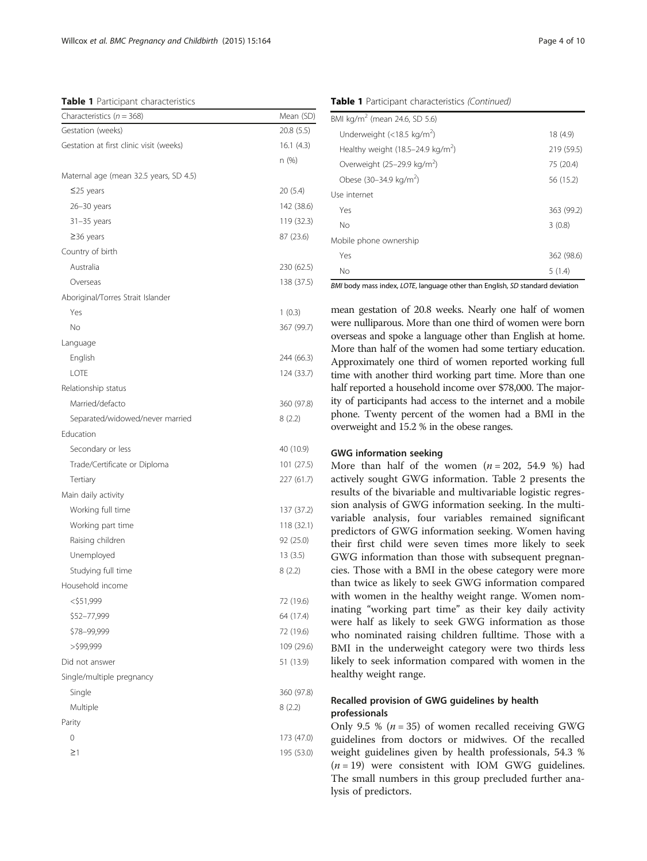<span id="page-3-0"></span>Table 1 Participant characteristics

| Characteristics ( $n = 368$ )           | Mean (SD)  |
|-----------------------------------------|------------|
| Gestation (weeks)                       | 20.8 (5.5) |
| Gestation at first clinic visit (weeks) | 16.1(4.3)  |
|                                         | n (%)      |
| Maternal age (mean 32.5 years, SD 4.5)  |            |
| $\leq$ 25 years                         | 20(5.4)    |
| 26-30 years                             | 142 (38.6) |
| $31 - 35$ years                         | 119 (32.3) |
| $\geq$ 36 years                         | 87 (23.6)  |
| Country of birth                        |            |
| Australia                               | 230 (62.5) |
| Overseas                                | 138 (37.5) |
| Aboriginal/Torres Strait Islander       |            |
| Yes                                     | 1(0.3)     |
| No                                      | 367 (99.7) |
| Language                                |            |
| English                                 | 244 (66.3) |
| LOTE                                    | 124 (33.7) |
| Relationship status                     |            |
| Married/defacto                         | 360 (97.8) |
| Separated/widowed/never married         | 8(2.2)     |
| Education                               |            |
| Secondary or less                       | 40 (10.9)  |
| Trade/Certificate or Diploma            | 101(27.5)  |
| Tertiary                                | 227 (61.7) |
| Main daily activity                     |            |
| Working full time                       | 137 (37.2) |
| Working part time                       | 118 (32.1) |
| Raising children                        | 92 (25.0)  |
| Unemployed                              | 13(3.5)    |
| Studying full time                      | 8(2.2)     |
| Household income                        |            |
| <\$51,999                               | 72 (19.6)  |
| \$52-77,999                             | 64 (17.4)  |
| \$78-99,999                             | 72 (19.6)  |
| >\$99,999                               | 109 (29.6) |
| Did not answer                          | 51 (13.9)  |
| Single/multiple pregnancy               |            |
| Single                                  | 360 (97.8) |
| Multiple                                | 8(2.2)     |
| Parity                                  |            |
| 0                                       | 173 (47.0) |
| $\geq$ 1                                | 195 (53.0) |
|                                         |            |

Table 1 Participant characteristics (Continued)

| No                                          | 5(1.4)     |
|---------------------------------------------|------------|
| Yes                                         | 362 (98.6) |
| Mobile phone ownership                      |            |
| No                                          | 3(0.8)     |
| Yes                                         | 363 (99.2) |
| Use internet                                |            |
| Obese (30-34.9 kg/m <sup>2</sup> )          | 56 (15.2)  |
| Overweight (25-29.9 kg/m <sup>2</sup> )     | 75 (20.4)  |
| Healthy weight $(18.5-24.9 \text{ kg/m}^2)$ | 219 (59.5) |
| Underweight (<18.5 kg/m <sup>2</sup> )      | 18 (4.9)   |
| BMI kg/m <sup>2</sup> (mean 24.6, SD 5.6)   |            |

BMI body mass index, LOTE, language other than English, SD standard deviation

mean gestation of 20.8 weeks. Nearly one half of women were nulliparous. More than one third of women were born overseas and spoke a language other than English at home. More than half of the women had some tertiary education. Approximately one third of women reported working full time with another third working part time. More than one half reported a household income over \$78,000. The majority of participants had access to the internet and a mobile phone. Twenty percent of the women had a BMI in the overweight and 15.2 % in the obese ranges.

#### GWG information seeking

More than half of the women  $(n = 202, 54.9%)$  had actively sought GWG information. Table [2](#page-4-0) presents the results of the bivariable and multivariable logistic regression analysis of GWG information seeking. In the multivariable analysis, four variables remained significant predictors of GWG information seeking. Women having their first child were seven times more likely to seek GWG information than those with subsequent pregnancies. Those with a BMI in the obese category were more than twice as likely to seek GWG information compared with women in the healthy weight range. Women nominating "working part time" as their key daily activity were half as likely to seek GWG information as those who nominated raising children fulltime. Those with a BMI in the underweight category were two thirds less likely to seek information compared with women in the healthy weight range.

# Recalled provision of GWG guidelines by health professionals

Only 9.5 % ( $n = 35$ ) of women recalled receiving GWG guidelines from doctors or midwives. Of the recalled weight guidelines given by health professionals, 54.3 %  $(n = 19)$  were consistent with IOM GWG guidelines. The small numbers in this group precluded further analysis of predictors.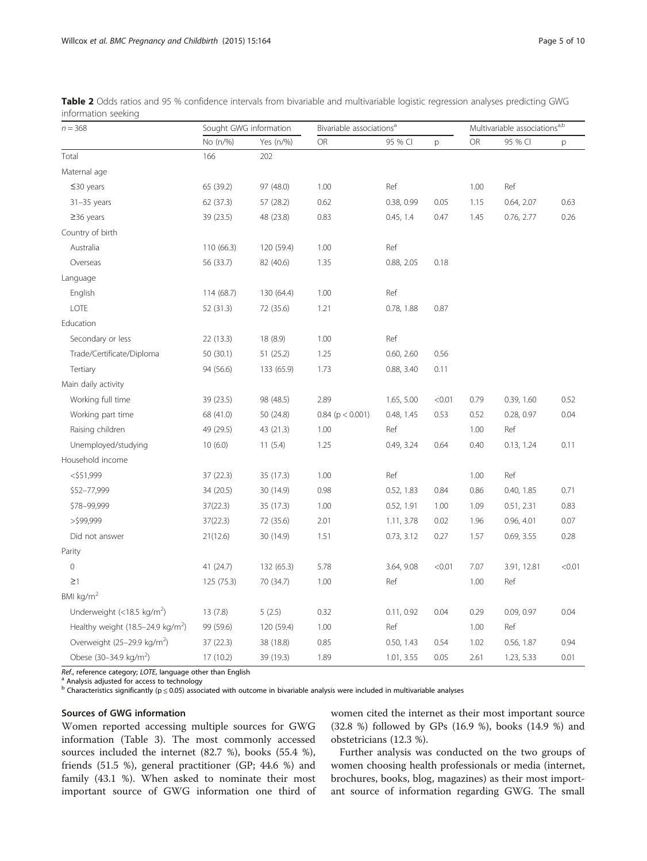| $n = 368$                                     | Sought GWG information |            | Bivariable associations <sup>a</sup> |            |        | Multivariable associations <sup>a,b</sup> |             |        |
|-----------------------------------------------|------------------------|------------|--------------------------------------|------------|--------|-------------------------------------------|-------------|--------|
|                                               | No (n/%)               | Yes (n/%)  | OR                                   | 95 % CI    | p      | OR                                        | 95 % CI     | p      |
| Total                                         | 166                    | 202        |                                      |            |        |                                           |             |        |
| Maternal age                                  |                        |            |                                      |            |        |                                           |             |        |
| $≤30$ years                                   | 65 (39.2)              | 97 (48.0)  | 1.00                                 | Ref        |        | 1.00                                      | Ref         |        |
| $31 - 35$ years                               | 62 (37.3)              | 57 (28.2)  | 0.62                                 | 0.38, 0.99 | 0.05   | 1.15                                      | 0.64, 2.07  | 0.63   |
| $\geq$ 36 years                               | 39 (23.5)              | 48 (23.8)  | 0.83                                 | 0.45, 1.4  | 0.47   | 1.45                                      | 0.76, 2.77  | 0.26   |
| Country of birth                              |                        |            |                                      |            |        |                                           |             |        |
| Australia                                     | 110 (66.3)             | 120 (59.4) | 1.00                                 | Ref        |        |                                           |             |        |
| Overseas                                      | 56 (33.7)              | 82 (40.6)  | 1.35                                 | 0.88, 2.05 | 0.18   |                                           |             |        |
| Language                                      |                        |            |                                      |            |        |                                           |             |        |
| English                                       | 114 (68.7)             | 130 (64.4) | $1.00\,$                             | Ref        |        |                                           |             |        |
| LOTE                                          | 52 (31.3)              | 72 (35.6)  | 1.21                                 | 0.78, 1.88 | 0.87   |                                           |             |        |
| Education                                     |                        |            |                                      |            |        |                                           |             |        |
| Secondary or less                             | 22 (13.3)              | 18 (8.9)   | 1.00                                 | Ref        |        |                                           |             |        |
| Trade/Certificate/Diploma                     | 50 (30.1)              | 51(25.2)   | 1.25                                 | 0.60, 2.60 | 0.56   |                                           |             |        |
| Tertiary                                      | 94 (56.6)              | 133 (65.9) | 1.73                                 | 0.88, 3.40 | 0.11   |                                           |             |        |
| Main daily activity                           |                        |            |                                      |            |        |                                           |             |        |
| Working full time                             | 39 (23.5)              | 98 (48.5)  | 2.89                                 | 1.65, 5.00 | < 0.01 | 0.79                                      | 0.39, 1.60  | 0.52   |
| Working part time                             | 68 (41.0)              | 50 (24.8)  | $0.84$ (p < 0.001)                   | 0.48, 1.45 | 0.53   | 0.52                                      | 0.28, 0.97  | 0.04   |
| Raising children                              | 49 (29.5)              | 43 (21.3)  | 1.00                                 | Ref        |        | 1.00                                      | Ref         |        |
| Unemployed/studying                           | 10(6.0)                | 11(5.4)    | 1.25                                 | 0.49, 3.24 | 0.64   | 0.40                                      | 0.13, 1.24  | 0.11   |
| Household income                              |                        |            |                                      |            |        |                                           |             |        |
| $<$ \$51,999                                  | 37(22.3)               | 35 (17.3)  | 1.00                                 | Ref        |        | 1.00                                      | Ref         |        |
| \$52-77,999                                   | 34 (20.5)              | 30 (14.9)  | 0.98                                 | 0.52, 1.83 | 0.84   | 0.86                                      | 0.40, 1.85  | 0.71   |
| \$78-99,999                                   | 37(22.3)               | 35 (17.3)  | 1.00                                 | 0.52, 1.91 | 1.00   | 1.09                                      | 0.51, 2.31  | 0.83   |
| $>$ \$99,999                                  | 37(22.3)               | 72 (35.6)  | 2.01                                 | 1.11, 3.78 | 0.02   | 1.96                                      | 0.96, 4.01  | 0.07   |
| Did not answer                                | 21(12.6)               | 30 (14.9)  | 1.51                                 | 0.73, 3.12 | 0.27   | 1.57                                      | 0.69, 3.55  | 0.28   |
| Parity                                        |                        |            |                                      |            |        |                                           |             |        |
| $\mathsf{O}\xspace$                           | 41 (24.7)              | 132 (65.3) | 5.78                                 | 3.64, 9.08 | < 0.01 | 7.07                                      | 3.91, 12.81 | < 0.01 |
| $\geq$ 1                                      | 125 (75.3)             | 70 (34.7)  | 1.00                                 | Ref        |        | 1.00                                      | Ref         |        |
| BMI kg/m <sup>2</sup>                         |                        |            |                                      |            |        |                                           |             |        |
| Underweight (<18.5 kg/m <sup>2</sup> )        | 13(7.8)                | 5(2.5)     | 0.32                                 | 0.11, 0.92 | 0.04   | 0.29                                      | 0.09, 0.97  | 0.04   |
| Healthy weight (18.5-24.9 kg/m <sup>2</sup> ) | 99 (59.6)              | 120 (59.4) | 1.00                                 | Ref        |        | 1.00                                      | Ref         |        |
| Overweight (25-29.9 kg/m <sup>2</sup> )       | 37 (22.3)              | 38 (18.8)  | 0.85                                 | 0.50, 1.43 | 0.54   | 1.02                                      | 0.56, 1.87  | 0.94   |
| Obese (30-34.9 kg/m <sup>2</sup> )            | 17 (10.2)              | 39 (19.3)  | 1.89                                 | 1.01, 3.55 | 0.05   | 2.61                                      | 1.23, 5.33  | 0.01   |

<span id="page-4-0"></span>Table 2 Odds ratios and 95 % confidence intervals from bivariable and multivariable logistic regression analyses predicting GWG information seeking

Ref., reference category; LOTE, language other than English  $a$  Analysis adjusted for access to technology

<sup>b</sup> Characteristics significantly (p ≤ 0.05) associated with outcome in bivariable analysis were included in multivariable analyses

# Sources of GWG information

Women reported accessing multiple sources for GWG information (Table [3](#page-5-0)). The most commonly accessed sources included the internet (82.7 %), books (55.4 %), friends (51.5 %), general practitioner (GP; 44.6 %) and family (43.1 %). When asked to nominate their most important source of GWG information one third of women cited the internet as their most important source (32.8 %) followed by GPs (16.9 %), books (14.9 %) and obstetricians (12.3 %).

Further analysis was conducted on the two groups of women choosing health professionals or media (internet, brochures, books, blog, magazines) as their most important source of information regarding GWG. The small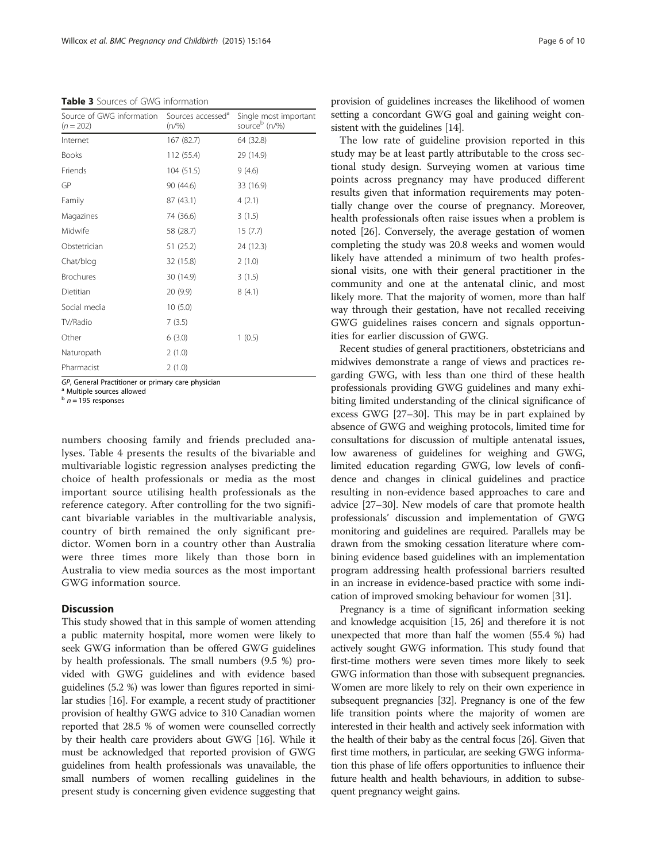<span id="page-5-0"></span>Table 3 Sources of GWG information

| Source of GWG information<br>$(n = 202)$ | Sources accessed <sup>a</sup><br>$(n/\%)$ | Single most important<br>source <sup>b</sup> (n/%) |  |  |  |
|------------------------------------------|-------------------------------------------|----------------------------------------------------|--|--|--|
| Internet                                 | 167 (82.7)                                | 64 (32.8)                                          |  |  |  |
| <b>Books</b>                             | 112 (55.4)                                | 29 (14.9)                                          |  |  |  |
| Friends                                  | 104(51.5)                                 | 9(4.6)                                             |  |  |  |
| GP                                       | 90 (44.6)                                 | 33 (16.9)                                          |  |  |  |
| Family                                   | 87 (43.1)                                 | 4(2.1)                                             |  |  |  |
| Magazines                                | 74 (36.6)                                 | 3(1.5)                                             |  |  |  |
| Midwife                                  | 58 (28.7)                                 | 15(7.7)                                            |  |  |  |
| Obstetrician                             | 51 (25.2)                                 | 24 (12.3)                                          |  |  |  |
| Chat/blog                                | 32 (15.8)                                 | 2(1.0)                                             |  |  |  |
| <b>Brochures</b>                         | 30 (14.9)                                 | 3(1.5)                                             |  |  |  |
| Dietitian                                | 20 (9.9)                                  | 8(4.1)                                             |  |  |  |
| Social media                             | 10(5.0)                                   |                                                    |  |  |  |
| TV/Radio                                 | 7(3.5)                                    |                                                    |  |  |  |
| Other                                    | 6(3.0)                                    | 1(0.5)                                             |  |  |  |
| Naturopath                               | 2(1.0)                                    |                                                    |  |  |  |
| Pharmacist                               | 2(1.0)                                    |                                                    |  |  |  |

GP, General Practitioner or primary care physician  $a^a$  Multiple sources allowed

 $b$  n = 195 responses

numbers choosing family and friends precluded analyses. Table [4](#page-6-0) presents the results of the bivariable and multivariable logistic regression analyses predicting the choice of health professionals or media as the most important source utilising health professionals as the reference category. After controlling for the two significant bivariable variables in the multivariable analysis, country of birth remained the only significant predictor. Women born in a country other than Australia were three times more likely than those born in Australia to view media sources as the most important GWG information source.

# **Discussion**

This study showed that in this sample of women attending a public maternity hospital, more women were likely to seek GWG information than be offered GWG guidelines by health professionals. The small numbers (9.5 %) provided with GWG guidelines and with evidence based guidelines (5.2 %) was lower than figures reported in similar studies [\[16\]](#page-8-0). For example, a recent study of practitioner provision of healthy GWG advice to 310 Canadian women reported that 28.5 % of women were counselled correctly by their health care providers about GWG [[16](#page-8-0)]. While it must be acknowledged that reported provision of GWG guidelines from health professionals was unavailable, the small numbers of women recalling guidelines in the present study is concerning given evidence suggesting that

provision of guidelines increases the likelihood of women setting a concordant GWG goal and gaining weight consistent with the guidelines [[14](#page-8-0)].

The low rate of guideline provision reported in this study may be at least partly attributable to the cross sectional study design. Surveying women at various time points across pregnancy may have produced different results given that information requirements may potentially change over the course of pregnancy. Moreover, health professionals often raise issues when a problem is noted [\[26\]](#page-8-0). Conversely, the average gestation of women completing the study was 20.8 weeks and women would likely have attended a minimum of two health professional visits, one with their general practitioner in the community and one at the antenatal clinic, and most likely more. That the majority of women, more than half way through their gestation, have not recalled receiving GWG guidelines raises concern and signals opportunities for earlier discussion of GWG.

Recent studies of general practitioners, obstetricians and midwives demonstrate a range of views and practices regarding GWG, with less than one third of these health professionals providing GWG guidelines and many exhibiting limited understanding of the clinical significance of excess GWG [\[27](#page-8-0)–[30](#page-8-0)]. This may be in part explained by absence of GWG and weighing protocols, limited time for consultations for discussion of multiple antenatal issues, low awareness of guidelines for weighing and GWG, limited education regarding GWG, low levels of confidence and changes in clinical guidelines and practice resulting in non-evidence based approaches to care and advice [\[27](#page-8-0)–[30\]](#page-8-0). New models of care that promote health professionals' discussion and implementation of GWG monitoring and guidelines are required. Parallels may be drawn from the smoking cessation literature where combining evidence based guidelines with an implementation program addressing health professional barriers resulted in an increase in evidence-based practice with some indication of improved smoking behaviour for women [\[31\]](#page-8-0).

Pregnancy is a time of significant information seeking and knowledge acquisition [[15](#page-8-0), [26](#page-8-0)] and therefore it is not unexpected that more than half the women (55.4 %) had actively sought GWG information. This study found that first-time mothers were seven times more likely to seek GWG information than those with subsequent pregnancies. Women are more likely to rely on their own experience in subsequent pregnancies [\[32](#page-8-0)]. Pregnancy is one of the few life transition points where the majority of women are interested in their health and actively seek information with the health of their baby as the central focus [\[26\]](#page-8-0). Given that first time mothers, in particular, are seeking GWG information this phase of life offers opportunities to influence their future health and health behaviours, in addition to subsequent pregnancy weight gains.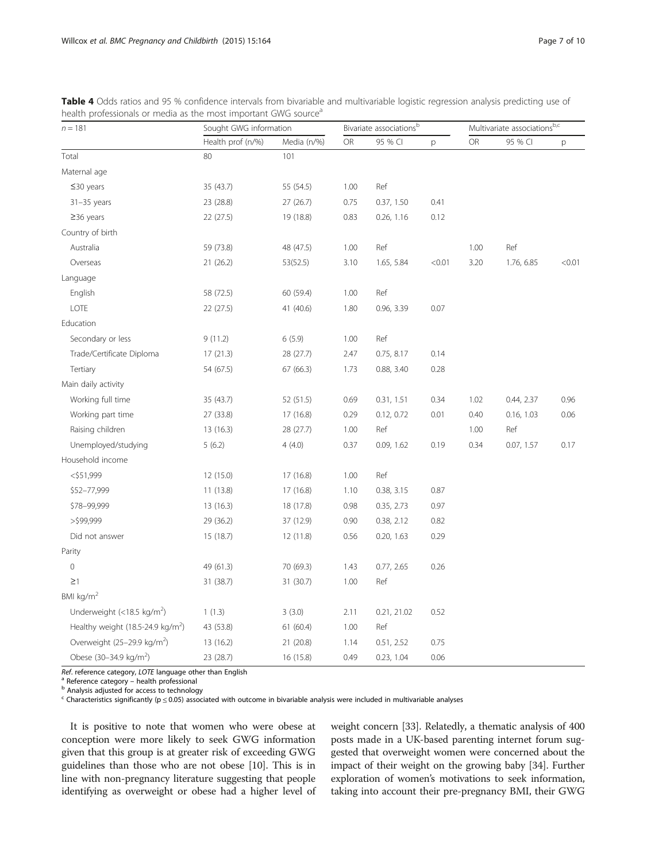| $n = 181$                                     | Sought GWG information |             | Bivariate associations <sup>b</sup> |             |        | Multivariate associations $b, c$ |            |        |
|-----------------------------------------------|------------------------|-------------|-------------------------------------|-------------|--------|----------------------------------|------------|--------|
|                                               | Health prof (n/%)      | Media (n/%) | OR                                  | 95 % CI     | р      | OR                               | 95 % CI    | р      |
| Total                                         | 80                     | 101         |                                     |             |        |                                  |            |        |
| Maternal age                                  |                        |             |                                     |             |        |                                  |            |        |
| $≤30$ years                                   | 35 (43.7)              | 55 (54.5)   | 1.00                                | Ref         |        |                                  |            |        |
| $31 - 35$ years                               | 23 (28.8)              | 27(26.7)    | 0.75                                | 0.37, 1.50  | 0.41   |                                  |            |        |
| $\geq$ 36 years                               | 22(27.5)               | 19 (18.8)   | 0.83                                | 0.26, 1.16  | 0.12   |                                  |            |        |
| Country of birth                              |                        |             |                                     |             |        |                                  |            |        |
| Australia                                     | 59 (73.8)              | 48 (47.5)   | 1.00                                | Ref         |        | 1.00                             | Ref        |        |
| Overseas                                      | 21(26.2)               | 53(52.5)    | 3.10                                | 1.65, 5.84  | < 0.01 | 3.20                             | 1.76, 6.85 | < 0.01 |
| Language                                      |                        |             |                                     |             |        |                                  |            |        |
| English                                       | 58 (72.5)              | 60 (59.4)   | 1.00                                | Ref         |        |                                  |            |        |
| LOTE                                          | 22 (27.5)              | 41 (40.6)   | 1.80                                | 0.96, 3.39  | 0.07   |                                  |            |        |
| Education                                     |                        |             |                                     |             |        |                                  |            |        |
| Secondary or less                             | 9(11.2)                | 6(5.9)      | 1.00                                | Ref         |        |                                  |            |        |
| Trade/Certificate Diploma                     | 17(21.3)               | 28 (27.7)   | 2.47                                | 0.75, 8.17  | 0.14   |                                  |            |        |
| Tertiary                                      | 54 (67.5)              | 67 (66.3)   | 1.73                                | 0.88, 3.40  | 0.28   |                                  |            |        |
| Main daily activity                           |                        |             |                                     |             |        |                                  |            |        |
| Working full time                             | 35 (43.7)              | 52 (51.5)   | 0.69                                | 0.31, 1.51  | 0.34   | 1.02                             | 0.44, 2.37 | 0.96   |
| Working part time                             | 27 (33.8)              | 17 (16.8)   | 0.29                                | 0.12, 0.72  | 0.01   | 0.40                             | 0.16, 1.03 | 0.06   |
| Raising children                              | 13(16.3)               | 28 (27.7)   | 1.00                                | Ref         |        | 1.00                             | Ref        |        |
| Unemployed/studying                           | 5(6.2)                 | 4(4.0)      | 0.37                                | 0.09, 1.62  | 0.19   | 0.34                             | 0.07, 1.57 | 0.17   |
| Household income                              |                        |             |                                     |             |        |                                  |            |        |
| $<$ \$51,999                                  | 12(15.0)               | 17 (16.8)   | 1.00                                | Ref         |        |                                  |            |        |
| \$52-77,999                                   | 11(13.8)               | 17 (16.8)   | 1.10                                | 0.38, 3.15  | 0.87   |                                  |            |        |
| \$78-99,999                                   | 13 (16.3)              | 18 (17.8)   | 0.98                                | 0.35, 2.73  | 0.97   |                                  |            |        |
| $>$ \$99,999                                  | 29 (36.2)              | 37 (12.9)   | 0.90                                | 0.38, 2.12  | 0.82   |                                  |            |        |
| Did not answer                                | 15 (18.7)              | 12 (11.8)   | 0.56                                | 0.20, 1.63  | 0.29   |                                  |            |        |
| Parity                                        |                        |             |                                     |             |        |                                  |            |        |
| $\mathsf{O}\xspace$                           | 49 (61.3)              | 70 (69.3)   | 1.43                                | 0.77, 2.65  | 0.26   |                                  |            |        |
| $\geq$ 1                                      | 31 (38.7)              | 31 (30.7)   | 1.00                                | Ref         |        |                                  |            |        |
| BMI kg/m <sup>2</sup>                         |                        |             |                                     |             |        |                                  |            |        |
| Underweight (<18.5 kg/m <sup>2</sup> )        | 1(1.3)                 | 3(3.0)      | 2.11                                | 0.21, 21.02 | 0.52   |                                  |            |        |
| Healthy weight (18.5-24.9 kg/m <sup>2</sup> ) | 43 (53.8)              | 61 (60.4)   | 1.00                                | Ref         |        |                                  |            |        |
| Overweight (25-29.9 kg/m <sup>2</sup> )       | 13 (16.2)              | 21 (20.8)   | 1.14                                | 0.51, 2.52  | 0.75   |                                  |            |        |
| Obese (30-34.9 kg/m <sup>2</sup> )            | 23 (28.7)              | 16 (15.8)   | 0.49                                | 0.23, 1.04  | 0.06   |                                  |            |        |

<span id="page-6-0"></span>Table 4 Odds ratios and 95 % confidence intervals from bivariable and multivariable logistic regression analysis predicting use of health professionals or media as the most important GWG source<sup>a</sup>

Ref. reference category, LOTE language other than English  $^a$  Reference category – health professional b Analysis adjusted for access to technology

 $c$  Characteristics significantly ( $p \le 0.05$ ) associated with outcome in bivariable analysis were included in multivariable analyses

It is positive to note that women who were obese at conception were more likely to seek GWG information given that this group is at greater risk of exceeding GWG guidelines than those who are not obese [\[10\]](#page-8-0). This is in line with non-pregnancy literature suggesting that people identifying as overweight or obese had a higher level of weight concern [\[33\]](#page-8-0). Relatedly, a thematic analysis of 400 posts made in a UK-based parenting internet forum suggested that overweight women were concerned about the impact of their weight on the growing baby [\[34\]](#page-8-0). Further exploration of women's motivations to seek information, taking into account their pre-pregnancy BMI, their GWG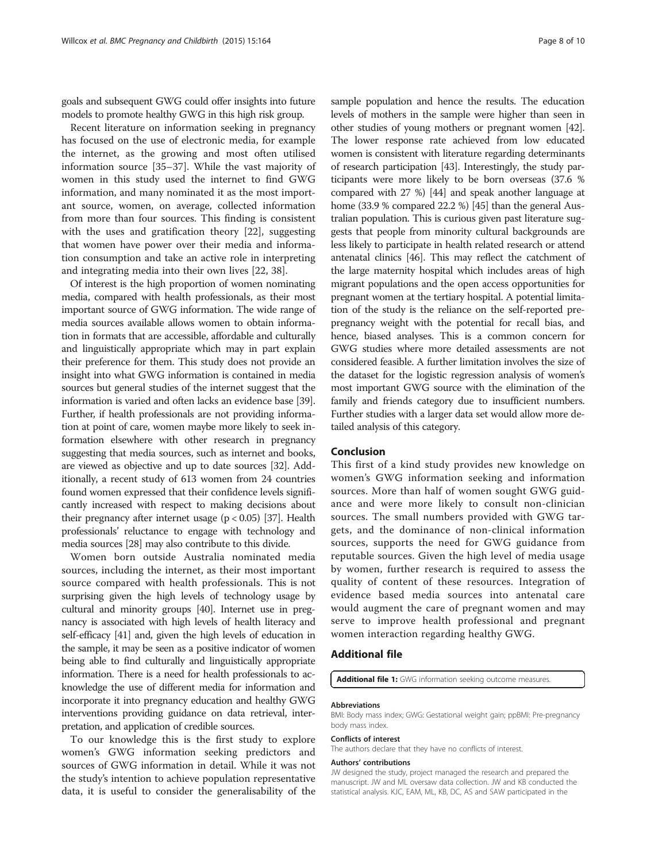<span id="page-7-0"></span>goals and subsequent GWG could offer insights into future models to promote healthy GWG in this high risk group.

Recent literature on information seeking in pregnancy has focused on the use of electronic media, for example the internet, as the growing and most often utilised information source [\[35](#page-8-0)–[37\]](#page-8-0). While the vast majority of women in this study used the internet to find GWG information, and many nominated it as the most important source, women, on average, collected information from more than four sources. This finding is consistent with the uses and gratification theory [[22\]](#page-8-0), suggesting that women have power over their media and information consumption and take an active role in interpreting and integrating media into their own lives [[22, 38\]](#page-8-0).

Of interest is the high proportion of women nominating media, compared with health professionals, as their most important source of GWG information. The wide range of media sources available allows women to obtain information in formats that are accessible, affordable and culturally and linguistically appropriate which may in part explain their preference for them. This study does not provide an insight into what GWG information is contained in media sources but general studies of the internet suggest that the information is varied and often lacks an evidence base [[39](#page-8-0)]. Further, if health professionals are not providing information at point of care, women maybe more likely to seek information elsewhere with other research in pregnancy suggesting that media sources, such as internet and books, are viewed as objective and up to date sources [\[32\]](#page-8-0). Additionally, a recent study of 613 women from 24 countries found women expressed that their confidence levels significantly increased with respect to making decisions about their pregnancy after internet usage  $(p < 0.05)$  [\[37\]](#page-8-0). Health professionals' reluctance to engage with technology and media sources [[28](#page-8-0)] may also contribute to this divide.

Women born outside Australia nominated media sources, including the internet, as their most important source compared with health professionals. This is not surprising given the high levels of technology usage by cultural and minority groups [\[40](#page-8-0)]. Internet use in pregnancy is associated with high levels of health literacy and self-efficacy [\[41\]](#page-9-0) and, given the high levels of education in the sample, it may be seen as a positive indicator of women being able to find culturally and linguistically appropriate information. There is a need for health professionals to acknowledge the use of different media for information and incorporate it into pregnancy education and healthy GWG interventions providing guidance on data retrieval, interpretation, and application of credible sources.

To our knowledge this is the first study to explore women's GWG information seeking predictors and sources of GWG information in detail. While it was not the study's intention to achieve population representative data, it is useful to consider the generalisability of the

sample population and hence the results. The education levels of mothers in the sample were higher than seen in other studies of young mothers or pregnant women [\[42](#page-9-0)]. The lower response rate achieved from low educated women is consistent with literature regarding determinants of research participation [\[43](#page-9-0)]. Interestingly, the study participants were more likely to be born overseas (37.6 % compared with 27 %) [\[44\]](#page-9-0) and speak another language at home (33.9 % compared 22.2 %) [\[45](#page-9-0)] than the general Australian population. This is curious given past literature suggests that people from minority cultural backgrounds are less likely to participate in health related research or attend antenatal clinics [\[46\]](#page-9-0). This may reflect the catchment of the large maternity hospital which includes areas of high migrant populations and the open access opportunities for pregnant women at the tertiary hospital. A potential limitation of the study is the reliance on the self-reported prepregnancy weight with the potential for recall bias, and hence, biased analyses. This is a common concern for GWG studies where more detailed assessments are not considered feasible. A further limitation involves the size of the dataset for the logistic regression analysis of women's most important GWG source with the elimination of the family and friends category due to insufficient numbers. Further studies with a larger data set would allow more detailed analysis of this category.

#### Conclusion

This first of a kind study provides new knowledge on women's GWG information seeking and information sources. More than half of women sought GWG guidance and were more likely to consult non-clinician sources. The small numbers provided with GWG targets, and the dominance of non-clinical information sources, supports the need for GWG guidance from reputable sources. Given the high level of media usage by women, further research is required to assess the quality of content of these resources. Integration of evidence based media sources into antenatal care would augment the care of pregnant women and may serve to improve health professional and pregnant women interaction regarding healthy GWG.

#### Additional file

[Additional file 1:](http://www.biomedcentral.com/content/supplementary/s12884-015-0600-6-s1.docx) GWG information seeking outcome measures.

#### Abbreviations

BMI: Body mass index; GWG: Gestational weight gain; ppBMI: Pre-pregnancy body mass index.

#### Conflicts of interest

The authors declare that they have no conflicts of interest.

#### Authors' contributions

JW designed the study, project managed the research and prepared the manuscript. JW and ML oversaw data collection. JW and KB conducted the statistical analysis. KJC, EAM, ML, KB, DC, AS and SAW participated in the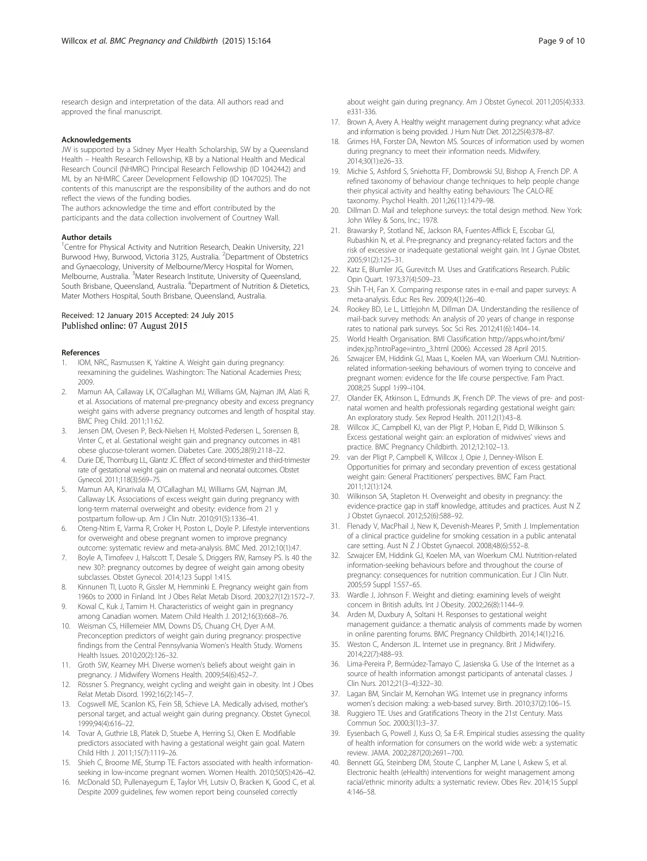<span id="page-8-0"></span>approved the final manuscript.

#### Acknowledgements

JW is supported by a Sidney Myer Health Scholarship, SW by a Queensland Health – Health Research Fellowship, KB by a National Health and Medical Research Council (NHMRC) Principal Research Fellowship (ID 1042442) and ML by an NHMRC Career Development Fellowship (ID 1047025). The contents of this manuscript are the responsibility of the authors and do not reflect the views of the funding bodies.

The authors acknowledge the time and effort contributed by the participants and the data collection involvement of Courtney Wall.

#### Author details

<sup>1</sup> Centre for Physical Activity and Nutrition Research, Deakin University, 221 Burwood Hwy, Burwood, Victoria 3125, Australia. <sup>2</sup>Department of Obstetrics and Gynaecology, University of Melbourne/Mercy Hospital for Women, Melbourne, Australia. <sup>3</sup>Mater Research Institute, University of Queensland, South Brisbane, Queensland, Australia. <sup>4</sup>Department of Nutrition & Dietetics, Mater Mothers Hospital, South Brisbane, Queensland, Australia.

#### Received: 12 January 2015 Accepted: 24 July 2015 Published online: 07 August 2015

#### References

- 1. IOM, NRC, Rasmussen K, Yaktine A. Weight gain during pregnancy: reexamining the guidelines. Washington: The National Academies Press; 2009.
- 2. Mamun AA, Callaway LK, O'Callaghan MJ, Williams GM, Najman JM, Alati R, et al. Associations of maternal pre-pregnancy obesity and excess pregnancy weight gains with adverse pregnancy outcomes and length of hospital stay. BMC Preg Child. 2011;11:62.
- 3. Jensen DM, Ovesen P, Beck-Nielsen H, Molsted-Pedersen L, Sorensen B, Vinter C, et al. Gestational weight gain and pregnancy outcomes in 481 obese glucose-tolerant women. Diabetes Care. 2005;28(9):2118–22.
- 4. Durie DE, Thornburg LL, Glantz JC. Effect of second-trimester and third-trimester rate of gestational weight gain on maternal and neonatal outcomes. Obstet Gynecol. 2011;118(3):569–75.
- 5. Mamun AA, Kinarivala M, O'Callaghan MJ, Williams GM, Najman JM, Callaway LK. Associations of excess weight gain during pregnancy with long-term maternal overweight and obesity: evidence from 21 y postpartum follow-up. Am J Clin Nutr. 2010;91(5):1336–41.
- 6. Oteng-Ntim E, Varma R, Croker H, Poston L, Doyle P. Lifestyle interventions for overweight and obese pregnant women to improve pregnancy outcome: systematic review and meta-analysis. BMC Med. 2012;10(1):47.
- 7. Boyle A, Timofeev J, Halscott T, Desale S, Driggers RW, Ramsey PS. Is 40 the new 30?: pregnancy outcomes by degree of weight gain among obesity subclasses. Obstet Gynecol. 2014;123 Suppl 1:41S.
- 8. Kinnunen TI, Luoto R, Gissler M, Hemminki E. Pregnancy weight gain from 1960s to 2000 in Finland. Int J Obes Relat Metab Disord. 2003;27(12):1572–7.
- 9. Kowal C, Kuk J, Tamim H. Characteristics of weight gain in pregnancy among Canadian women. Matern Child Health J. 2012;16(3):668–76.
- 10. Weisman CS, Hillemeier MM, Downs DS, Chuang CH, Dyer A-M. Preconception predictors of weight gain during pregnancy: prospective findings from the Central Pennsylvania Women's Health Study. Womens Health Issues. 2010;20(2):126–32.
- 11. Groth SW, Kearney MH. Diverse women's beliefs about weight gain in pregnancy. J Midwifery Womens Health. 2009;54(6):452–7.
- 12. Rössner S. Pregnancy, weight cycling and weight gain in obesity. Int J Obes Relat Metab Disord. 1992;16(2):145–7.
- 13. Cogswell ME, Scanlon KS, Fein SB, Schieve LA. Medically advised, mother's personal target, and actual weight gain during pregnancy. Obstet Gynecol. 1999;94(4):616–22.
- 14. Tovar A, Guthrie LB, Platek D, Stuebe A, Herring SJ, Oken E. Modifiable predictors associated with having a gestational weight gain goal. Matern Child Hlth J. 2011;15(7):1119–26.
- 15. Shieh C, Broome ME, Stump TE. Factors associated with health informationseeking in low-income pregnant women. Women Health. 2010;50(5):426–42.
- 16. McDonald SD, Pullenayegum E, Taylor VH, Lutsiv O, Bracken K, Good C, et al. Despite 2009 guidelines, few women report being counseled correctly

about weight gain during pregnancy. Am J Obstet Gynecol. 2011;205(4):333. e331-336.

- 17. Brown A, Avery A. Healthy weight management during pregnancy: what advice and information is being provided. J Hum Nutr Diet. 2012;25(4):378–87.
- 18. Grimes HA, Forster DA, Newton MS. Sources of information used by women during pregnancy to meet their information needs. Midwifery. 2014;30(1):e26–33.
- 19. Michie S, Ashford S, Sniehotta FF, Dombrowski SU, Bishop A, French DP. A refined taxonomy of behaviour change techniques to help people change their physical activity and healthy eating behaviours: The CALO-RE taxonomy. Psychol Health. 2011;26(11):1479–98.
- 20. Dillman D. Mail and telephone surveys: the total design method. New York: John Wiley & Sons, Inc.; 1978.
- 21. Brawarsky P, Stotland NE, Jackson RA, Fuentes-Afflick E, Escobar GJ, Rubashkin N, et al. Pre-pregnancy and pregnancy-related factors and the risk of excessive or inadequate gestational weight gain. Int J Gynae Obstet. 2005;91(2):125–31.
- 22. Katz E, Blumler JG, Gurevitch M. Uses and Gratifications Research. Public Opin Quart. 1973;37(4):509–23.
- 23. Shih T-H, Fan X. Comparing response rates in e-mail and paper surveys: A meta-analysis. Educ Res Rev. 2009;4(1):26–40.
- 24. Rookey BD, Le L, Littlejohn M, Dillman DA. Understanding the resilience of mail-back survey methods: An analysis of 20 years of change in response rates to national park surveys. Soc Sci Res. 2012;41(6):1404–14.
- 25. World Health Organisation. BMI Classification [http://apps.who.int/bmi/](http://apps.who.int/bmi/index.jsp?introPage=intro_3.html) [index.jsp?introPage=intro\\_3.html](http://apps.who.int/bmi/index.jsp?introPage=intro_3.html) (2006). Accessed 28 April 2015.
- 26. Szwajcer EM, Hiddink GJ, Maas L, Koelen MA, van Woerkum CMJ. Nutritionrelated information-seeking behaviours of women trying to conceive and pregnant women: evidence for the life course perspective. Fam Pract. 2008;25 Suppl 1:i99–i104.
- 27. Olander EK, Atkinson L, Edmunds JK, French DP. The views of pre- and postnatal women and health professionals regarding gestational weight gain: An exploratory study. Sex Reprod Health. 2011;2(1):43–8.
- 28. Willcox JC, Campbell KJ, van der Pligt P, Hoban E, Pidd D, Wilkinson S. Excess gestational weight gain: an exploration of midwives' views and practice. BMC Pregnancy Childbirth. 2012;12:102–13.
- 29. van der Pligt P, Campbell K, Willcox J, Opie J, Denney-Wilson E. Opportunities for primary and secondary prevention of excess gestational weight gain: General Practitioners' perspectives. BMC Fam Pract. 2011;12(1):124.
- 30. Wilkinson SA, Stapleton H. Overweight and obesity in pregnancy: the evidence-practice gap in staff knowledge, attitudes and practices. Aust N Z J Obstet Gynaecol. 2012;52(6):588–92.
- 31. Flenady V, MacPhail J, New K, Devenish-Meares P, Smith J. Implementation of a clinical practice guideline for smoking cessation in a public antenatal care setting. Aust N Z J Obstet Gynaecol. 2008;48(6):552–8.
- 32. Szwajcer EM, Hiddink GJ, Koelen MA, van Woerkum CMJ. Nutrition-related information-seeking behaviours before and throughout the course of pregnancy: consequences for nutrition communication. Eur J Clin Nutr. 2005;59 Suppl 1:S57–65.
- 33. Wardle J, Johnson F. Weight and dieting: examining levels of weight concern in British adults. Int J Obesity. 2002;26(8):1144–9.
- 34. Arden M, Duxbury A, Soltani H. Responses to gestational weight management guidance: a thematic analysis of comments made by women in online parenting forums. BMC Pregnancy Childbirth. 2014;14(1):216.
- 35. Weston C, Anderson JL. Internet use in pregnancy. Brit J Midwifery. 2014;22(7):488–93.
- 36. Lima-Pereira P, Bermúdez-Tamayo C, Jasienska G. Use of the Internet as a source of health information amongst participants of antenatal classes. J Clin Nurs. 2012;21(3–4):322–30.
- 37. Lagan BM, Sinclair M, Kernohan WG. Internet use in pregnancy informs women's decision making: a web-based survey. Birth. 2010;37(2):106–15.
- 38. Ruggiero TE. Uses and Gratifications Theory in the 21st Century. Mass Commun Soc. 2000;3(1):3–37.
- 39. Eysenbach G, Powell J, Kuss O, Sa E-R. Empirical studies assessing the quality of health information for consumers on the world wide web: a systematic review. JAMA. 2002;287(20):2691–700.
- Bennett GG, Steinberg DM, Stoute C, Lanpher M, Lane I, Askew S, et al. Electronic health (eHealth) interventions for weight management among racial/ethnic minority adults: a systematic review. Obes Rev. 2014;15 Suppl 4:146–58.